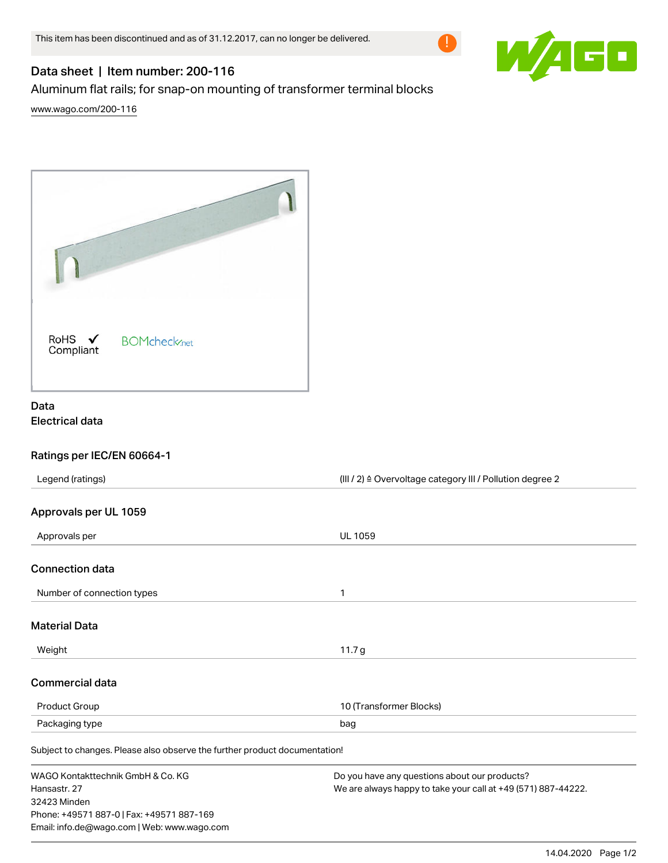



# Data sheet | Item number: 200-116

Aluminum flat rails; for snap-on mounting of transformer terminal blocks

[www.wago.com/200-116](http://www.wago.com/200-116)



## Data Electrical data

## Ratings per IEC/EN 60664-1

| Legend (ratings)<br>(III / 2) ≙ Overvoltage category III / Pollution degree 2 |                                                               |  |
|-------------------------------------------------------------------------------|---------------------------------------------------------------|--|
|                                                                               |                                                               |  |
| Approvals per UL 1059                                                         |                                                               |  |
| Approvals per                                                                 | <b>UL 1059</b>                                                |  |
| <b>Connection data</b>                                                        |                                                               |  |
| Number of connection types                                                    | 1                                                             |  |
| <b>Material Data</b>                                                          |                                                               |  |
| Weight                                                                        | 11.7 <sub>g</sub>                                             |  |
| <b>Commercial data</b>                                                        |                                                               |  |
| <b>Product Group</b>                                                          | 10 (Transformer Blocks)                                       |  |
| Packaging type                                                                | bag                                                           |  |
| Subject to changes. Please also observe the further product documentation!    |                                                               |  |
| WAGO Kontakttechnik GmbH & Co. KG                                             | Do you have any questions about our products?                 |  |
| Hansastr, 27                                                                  | We are always happy to take your call at +49 (571) 887-44222. |  |
| 32423 Minden                                                                  |                                                               |  |
| Phone: +49571 887-0   Fax: +49571 887-169                                     |                                                               |  |
| Email: info.de@wago.com   Web: www.wago.com                                   |                                                               |  |